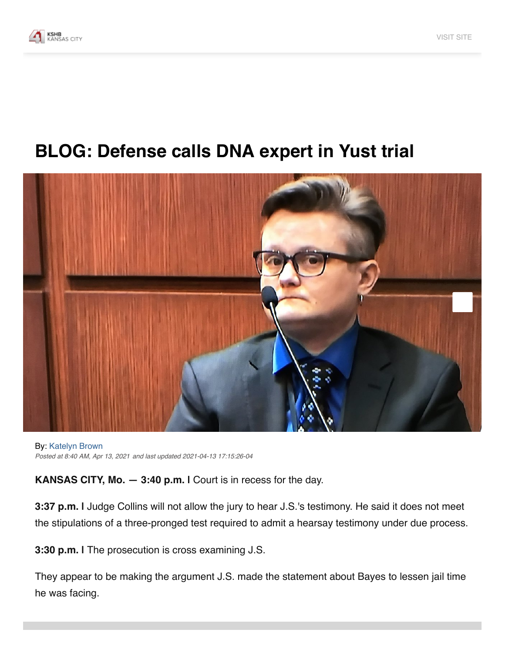

## **BLOG: Defense calls DNA expert in Yust trial**



**By: Katelyn Brown** Posted at 8:40 AM, Apr 13, 2021 and last updated 2021-04-13 17:15:26-04

**KANSAS CITY, Mo.**  $-$  **3:40 p.m.** I Court is in recess for the day.

3:37 p.m. I Judge Collins will not allow the jury to hear J.S.'s testimony. He said it does not meet the stipulations of a three-pronged test required to admit a hearsay testimony under due process.

3:30 p.m. I The prosecution is cross examining J.S.

They appear to be making the argument J.S. made the statement about Bayes to lessen jail time he was facing.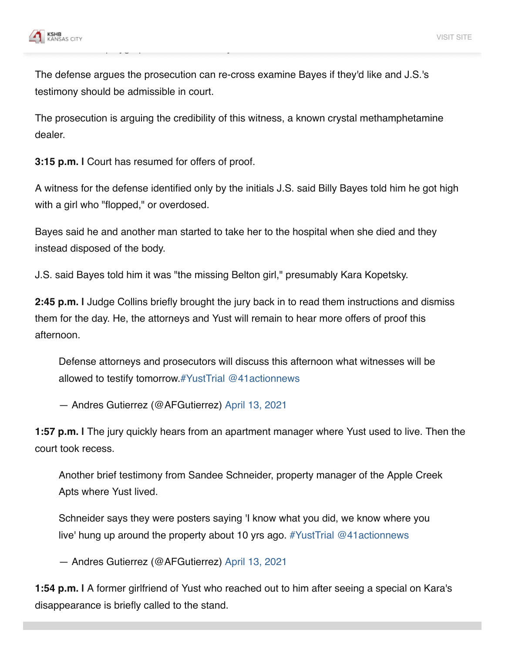

The defense argues the prosecution can re-cross examine Bayes if they'd like and J.S.'s testimony should be admissible in court.

The prosecution is arguing the credibility of this witness, a known crystal methamphetamine dealer.

3:15 p.m. I Court has resumed for offers of proof.

A witness for the defense identified only by the initials J.S. said Billy Bayes told him he got high with a girl who "flopped," or overdosed.

Bayes said he and another man started to take her to the hospital when she died and they instead disposed of the body.

J.S. said Bayes told him it was "the missing Belton girl," presumably Kara Kopetsky.

2:45 p.m. I Judge Collins briefly brought the jury back in to read them instructions and dismiss them for the day. He, the attorneys and Yust will remain to hear more offers of proof this afternoon.

Defense attorneys and prosecutors will discuss this afternoon what witnesses will be allowed to testify tomorrow.#YustTrial @41actionnews

- Andres Gutierrez (@AFGutierrez) April 13, 2021

1:57 p.m. I The jury quickly hears from an apartment manager where Yust used to live. Then the court took recess.

Another brief testimony from Sandee Schneider, property manager of the Apple Creek Apts where Yust lived.

Schneider says they were posters saying 'I know what you did, we know where you live' hung up around the property about 10 yrs ago.  $\#Y$ ustTrial @41 actionnews

- Andres Gutierrez (@AFGutierrez) April 13, 2021

1:54 p.m. I A former girlfriend of Yust who reached out to him after seeing a special on Kara's disappearance is briefly called to the stand.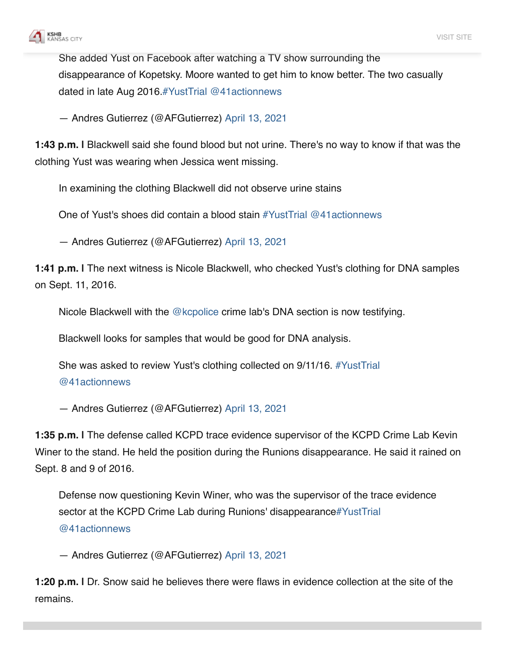

She added Yust on Facebook after watching a TV show surrounding the disappearance of Kopetsky. Moore wanted to get him to know better. The two casually dated in late Aug 2016  $\#$ YustTrial @41 actionnews

- Andres Gutierrez (@AFGutierrez) April 13, 2021

1:43 p.m. I Blackwell said she found blood but not urine. There's no way to know if that was the clothing Yust was wearing when Jessica went missing.

In examining the clothing Blackwell did not observe urine stains

One of Yust's shoes did contain a blood stain #YustTrial @41actionnews

- Andres Gutierrez (@AFGutierrez) April 13, 2021

1:41 p.m. I The next witness is Nicole Blackwell, who checked Yust's clothing for DNA samples on Sept. 11, 2016.

Nicole Blackwell with the @kcpolice crime lab's DNA section is now testifying.

Blackwell looks for samples that would be good for DNA analysis.

She was asked to review Yust's clothing collected on 9/11/16. #YustTrial @41actionnews

- Andres Gutierrez (@AFGutierrez) April 13, 2021

1:35 p.m. I The defense called KCPD trace evidence supervisor of the KCPD Crime Lab Kevin Winer to the stand. He held the position during the Runions disappearance. He said it rained on Sept. 8 and 9 of 2016.

Defense now questioning Kevin Winer, who was the supervisor of the trace evidence sector at the KCPD Crime Lab during Runions' disappearance#YustTrial  $@41$  actionnews

- Andres Gutierrez (@AFGutierrez) April 13, 2021

1:20 p.m. I Dr. Snow said he believes there were flaws in evidence collection at the site of the remains.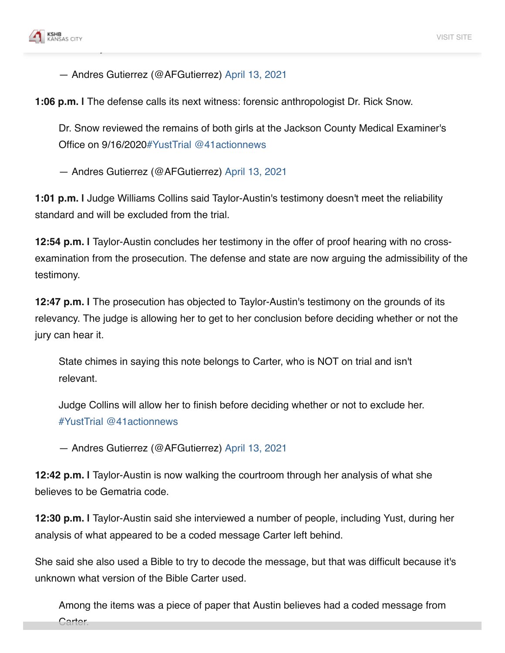

- Andres Gutierrez (@AFGutierrez) April 13, 2021

1:06 p.m. I The defense calls its next witness: forensic anthropologist Dr. Rick Snow.

Dr. Snow reviewed the remains of both girls at the Jackson County Medical Examiner's Office on 9/16/2020#YustTrial @41actionnews

- Andres Gutierrez (@AFGutierrez) April 13, 2021

1:01 p.m. I Judge Williams Collins said Taylor-Austin's testimony doesn't meet the reliability standard and will be excluded from the trial.

12:54 p.m. I Taylor-Austin concludes her testimony in the offer of proof hearing with no crossexamination from the prosecution. The defense and state are now arguing the admissibility of the testimony.

12:47 p.m. I The prosecution has objected to Taylor-Austin's testimony on the grounds of its relevancy. The judge is allowing her to get to her conclusion before deciding whether or not the jury can hear it.

State chimes in saying this note belongs to Carter, who is NOT on trial and isn't relevant.

Judge Collins will allow her to finish before deciding whether or not to exclude her. #YustTrial @41actionnews

- Andres Gutierrez (@AFGutierrez) April 13, 2021

12:42 p.m. I Taylor-Austin is now walking the courtroom through her analysis of what she believes to be Gematria code.

12:30 p.m. I Taylor-Austin said she interviewed a number of people, including Yust, during her analysis of what appeared to be a coded message Carter left behind.

She said she also used a Bible to try to decode the message, but that was difficult because it's unknown what version of the Bible Carter used.

Among the items was a piece of paper that Austin believes had a coded message from Carter.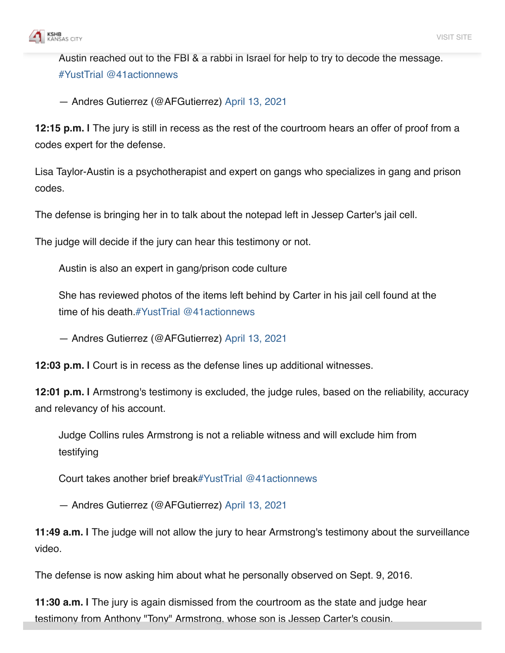

Austin reached out to the FBI & a rabbi in Israel for help to try to decode the message. #YustTrial @41actionnews

- Andres Gutierrez (@AFGutierrez) April 13, 2021

12:15 p.m. I The jury is still in recess as the rest of the courtroom hears an offer of proof from a codes expert for the defense.

Lisa Taylor-Austin is a psychotherapist and expert on gangs who specializes in gang and prison codes.

The defense is bringing her in to talk about the notepad left in Jessep Carter's jail cell.

The judge will decide if the jury can hear this testimony or not.

Austin is also an expert in gang/prison code culture

She has reviewed photos of the items left behind by Carter in his jail cell found at the time of his death  $\#Y$ ustTrial @41 actionnews

- Andres Gutierrez (@AFGutierrez) April 13, 2021

12:03 p.m. I Court is in recess as the defense lines up additional witnesses.

12:01 p.m. I Armstrong's testimony is excluded, the judge rules, based on the reliability, accuracy and relevancy of his account.

Judge Collins rules Armstrong is not a reliable witness and will exclude him from testifying

Court takes another brief break#YustTrial @41actionnews

- Andres Gutierrez (@AFGutierrez) April 13, 2021

11:49 a.m. I The judge will not allow the jury to hear Armstrong's testimony about the surveillance video.

The defense is now asking him about what he personally observed on Sept. 9, 2016.

11:30 a.m. I The jury is again dismissed from the courtroom as the state and judge hear testimony from Anthony "Tony" Armstrong, whose son is Jessep Carter's cousin.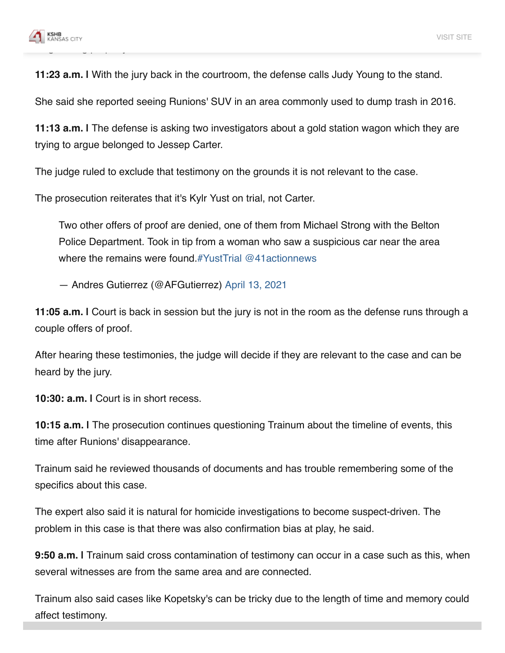

11:23 a.m. I With the jury back in the courtroom, the defense calls Judy Young to the stand.

She said she reported seeing Runions' SUV in an area commonly used to dump trash in 2016.

11:13 a.m. I The defense is asking two investigators about a gold station wagon which they are trying to argue belonged to Jessep Carter.

The judge ruled to exclude that testimony on the grounds it is not relevant to the case.

The prosecution reiterates that it's Kylr Yust on trial, not Carter.

Two other offers of proof are denied, one of them from Michael Strong with the Belton Police Department. Took in tip from a woman who saw a suspicious car near the area where the remains were found.#YustTrial @41 actionnews

- Andres Gutierrez (@AFGutierrez) April 13, 2021

11:05 a.m. I Court is back in session but the jury is not in the room as the defense runs through a couple offers of proof.

After hearing these testimonies, the judge will decide if they are relevant to the case and can be heard by the jury.

10:30: a.m. I Court is in short recess.

10:15 a.m. I The prosecution continues questioning Trainum about the timeline of events, this time after Runions' disappearance.

Trainum said he reviewed thousands of documents and has trouble remembering some of the specifics about this case.

The expert also said it is natural for homicide investigations to become suspect-driven. The problem in this case is that there was also confirmation bias at play, he said.

9:50 a.m. I Trainum said cross contamination of testimony can occur in a case such as this, when several witnesses are from the same area and are connected.

Trainum also said cases like Kopetsky's can be tricky due to the length of time and memory could affect testimony.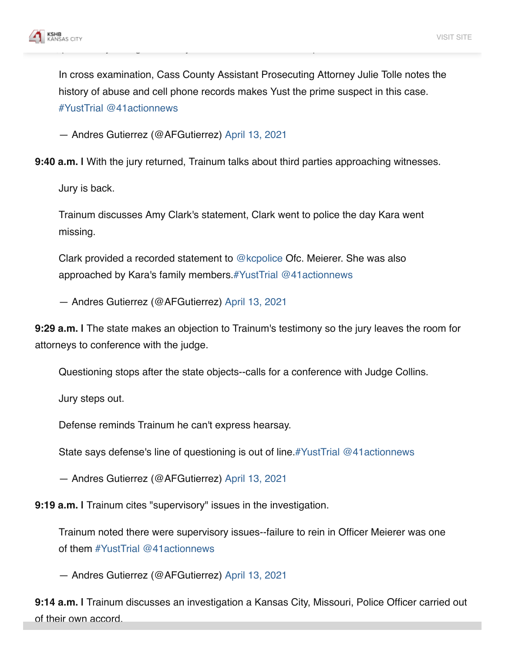

In cross examination, Cass County Assistant Prosecuting Attorney Julie Tolle notes the history of abuse and cell phone records makes Yust the prime suspect in this case. #YustTrial @41actionnews

- Andres Gutierrez (@AFGutierrez) April 13, 2021

9:40 a.m. I With the jury returned, Trainum talks about third parties approaching witnesses.

Jury is back.

Trainum discusses Amy Clark's statement, Clark went to police the day Kara went missing.

Clark provided a recorded statement to @kcpolice Ofc. Meierer. She was also approached by Kara's family members. #YustTrial @41actionnews

- Andres Gutierrez (@AFGutierrez) April 13, 2021

9:29 a.m. I The state makes an objection to Trainum's testimony so the jury leaves the room for attorneys to conference with the judge.

Questioning stops after the state objects--calls for a conference with Judge Collins.

Jury steps out.

Defense reminds Trainum he can't express hearsay.

State says defense's line of questioning is out of line.#YustTrial @41actionnews

- Andres Gutierrez (@AFGutierrez) April 13, 2021

9:19 a.m. I Trainum cites "supervisory" issues in the investigation.

Trainum noted there were supervisory issues--failure to rein in Officer Meierer was one of them  $\#Y$ ustTrial @41 actionnews

- Andres Gutierrez (@AFGutierrez) April 13, 2021

9:14 a.m. I Trainum discusses an investigation a Kansas City, Missouri, Police Officer carried out of their own accord.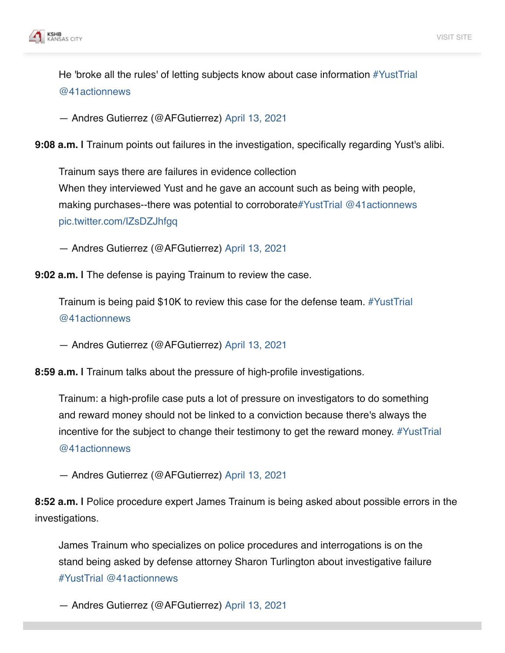

He 'broke all the rules' of letting subjects know about case information #YustTrial @41actionnews

- Andres Gutierrez (@AFGutierrez) April 13, 2021

9:08 a.m. I Trainum points out failures in the investigation, specifically regarding Yust's alibi.

Trainum says there are failures in evidence collection When they interviewed Yust and he gave an account such as being with people, making purchases--there was potential to corroborate#YustTrial @41actionnews pic.twitter.com/IZsDZJhfgg

- Andres Gutierrez (@AFGutierrez) April 13, 2021

9:02 a.m. I The defense is paying Trainum to review the case.

Trainum is being paid \$10K to review this case for the defense team. #YustTrial @41actionnews

- Andres Gutierrez (@AFGutierrez) April 13, 2021

8:59 a.m. I Trainum talks about the pressure of high-profile investigations.

Trainum: a high-profile case puts a lot of pressure on investigators to do something and reward money should not be linked to a conviction because there's always the incentive for the subject to change their testimony to get the reward money. #YustTrial @41actionnews

- Andres Gutierrez (@AFGutierrez) April 13, 2021

8:52 a.m. I Police procedure expert James Trainum is being asked about possible errors in the investigations.

James Trainum who specializes on police procedures and interrogations is on the stand being asked by defense attorney Sharon Turlington about investigative failure #YustTrial @41actionnews

- Andres Gutierrez (@AFGutierrez) April 13, 2021